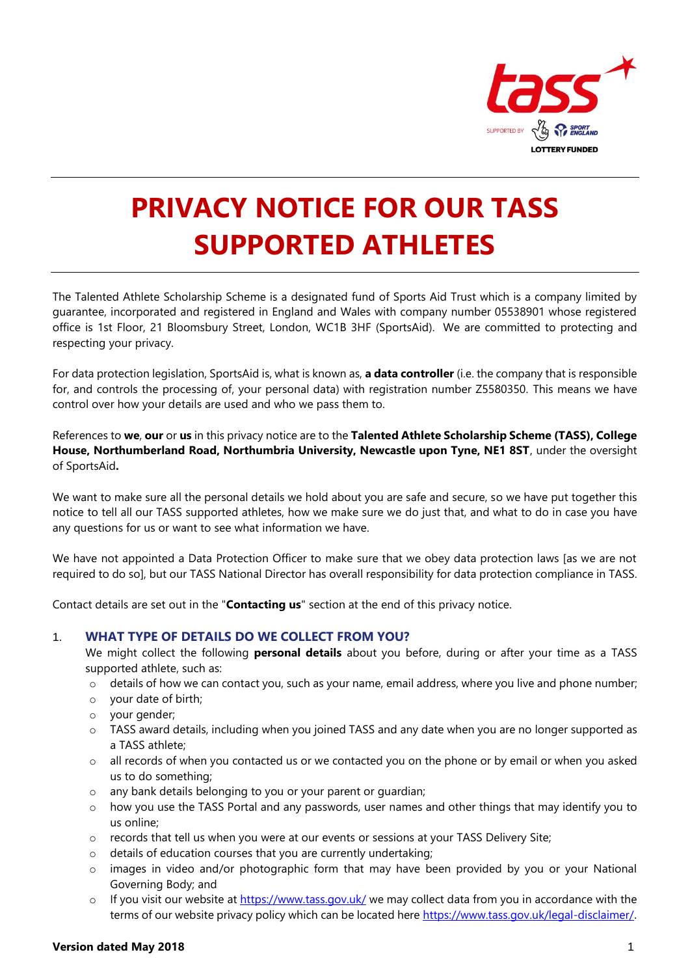

# **PRIVACY NOTICE FOR OUR TASS SUPPORTED ATHLETES**

The Talented Athlete Scholarship Scheme is a designated fund of Sports Aid Trust which is a company limited by guarantee, incorporated and registered in England and Wales with company number 05538901 whose registered office is 1st Floor, 21 Bloomsbury Street, London, WC1B 3HF (SportsAid). We are committed to protecting and respecting your privacy.

For data protection legislation, SportsAid is, what is known as, **a data controller** (i.e. the company that is responsible for, and controls the processing of, your personal data) with registration number Z5580350. This means we have control over how your details are used and who we pass them to.

References to **we**, **our** or **us** in this privacy notice are to the **Talented Athlete Scholarship Scheme (TASS), College House, Northumberland Road, Northumbria University, Newcastle upon Tyne, NE1 8ST**, under the oversight of SportsAid**.**

We want to make sure all the personal details we hold about you are safe and secure, so we have put together this notice to tell all our TASS supported athletes, how we make sure we do just that, and what to do in case you have any questions for us or want to see what information we have.

We have not appointed a Data Protection Officer to make sure that we obey data protection laws [as we are not required to do so], but our TASS National Director has overall responsibility for data protection compliance in TASS.

Contact details are set out in the "**Contacting us**" section at the end of this privacy notice.

#### 1. **WHAT TYPE OF DETAILS DO WE COLLECT FROM YOU?**

We might collect the following **personal details** about you before, during or after your time as a TASS supported athlete, such as:

- $\circ$  details of how we can contact you, such as your name, email address, where you live and phone number;
- o your date of birth;
- o your gender;
- $\circ$  TASS award details, including when you joined TASS and any date when you are no longer supported as a TASS athlete;
- $\circ$  all records of when you contacted us or we contacted you on the phone or by email or when you asked us to do something;
- o any bank details belonging to you or your parent or guardian;
- $\circ$  how you use the TASS Portal and any passwords, user names and other things that may identify you to us online;
- o records that tell us when you were at our events or sessions at your TASS Delivery Site;
- o details of education courses that you are currently undertaking;
- $\circ$  images in video and/or photographic form that may have been provided by you or your National Governing Body; and
- $\circ$  If you visit our website at<https://www.tass.gov.uk/> we may collect data from you in accordance with the terms of our website privacy policy which can be located here<https://www.tass.gov.uk/legal-disclaimer/>.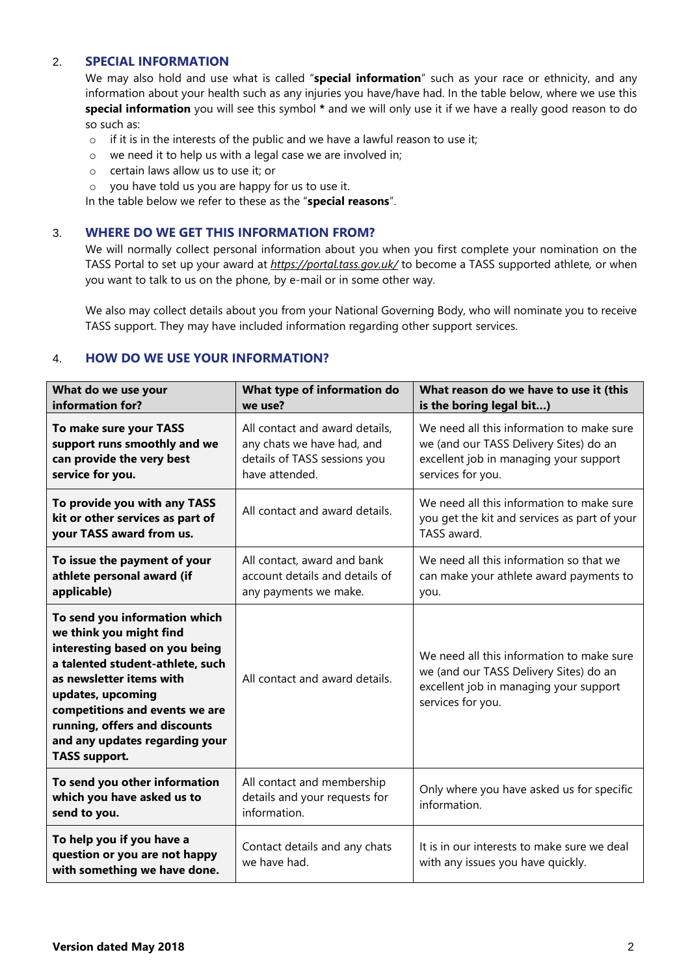# 2. **SPECIAL INFORMATION**

We may also hold and use what is called "**special information**" such as your race or ethnicity, and any information about your health such as any injuries you have/have had. In the table below, where we use this **special information** you will see this symbol **\*** and we will only use it if we have a really good reason to do so such as:

- $\circ$  if it is in the interests of the public and we have a lawful reason to use it:
- o we need it to help us with a legal case we are involved in;
- o certain laws allow us to use it; or
- o you have told us you are happy for us to use it.

In the table below we refer to these as the "**special reasons**".

## 3. **WHERE DO WE GET THIS INFORMATION FROM?**

We will normally collect personal information about you when you first complete your nomination on the TASS Portal to set up your award at *https://portal.tass.gov.uk/* to become a TASS supported athlete*,* or when you want to talk to us on the phone, by e-mail or in some other way.

We also may collect details about you from your National Governing Body, who will nominate you to receive TASS support. They may have included information regarding other support services.

## 4. **HOW DO WE USE YOUR INFORMATION?**

| What do we use your<br>information for?                                                                                                                                                                                                                                                                      | What type of information do<br>we use?                                                                         | What reason do we have to use it (this<br>is the boring legal bit)                                                                                 |
|--------------------------------------------------------------------------------------------------------------------------------------------------------------------------------------------------------------------------------------------------------------------------------------------------------------|----------------------------------------------------------------------------------------------------------------|----------------------------------------------------------------------------------------------------------------------------------------------------|
| To make sure your TASS<br>support runs smoothly and we<br>can provide the very best<br>service for you.                                                                                                                                                                                                      | All contact and award details,<br>any chats we have had, and<br>details of TASS sessions you<br>have attended. | We need all this information to make sure<br>we (and our TASS Delivery Sites) do an<br>excellent job in managing your support<br>services for you. |
| To provide you with any TASS<br>kit or other services as part of<br>your TASS award from us.                                                                                                                                                                                                                 | All contact and award details.                                                                                 | We need all this information to make sure<br>you get the kit and services as part of your<br>TASS award.                                           |
| To issue the payment of your<br>athlete personal award (if<br>applicable)                                                                                                                                                                                                                                    | All contact, award and bank<br>account details and details of<br>any payments we make.                         | We need all this information so that we<br>can make your athlete award payments to<br>you.                                                         |
| To send you information which<br>we think you might find<br>interesting based on you being<br>a talented student-athlete, such<br>as newsletter items with<br>updates, upcoming<br>competitions and events we are<br>running, offers and discounts<br>and any updates regarding your<br><b>TASS support.</b> | All contact and award details.                                                                                 | We need all this information to make sure<br>we (and our TASS Delivery Sites) do an<br>excellent job in managing your support<br>services for you. |
| To send you other information<br>which you have asked us to<br>send to you.                                                                                                                                                                                                                                  | All contact and membership<br>details and your requests for<br>information.                                    | Only where you have asked us for specific<br>information.                                                                                          |
| To help you if you have a<br>question or you are not happy<br>with something we have done.                                                                                                                                                                                                                   | Contact details and any chats<br>we have had.                                                                  | It is in our interests to make sure we deal<br>with any issues you have quickly.                                                                   |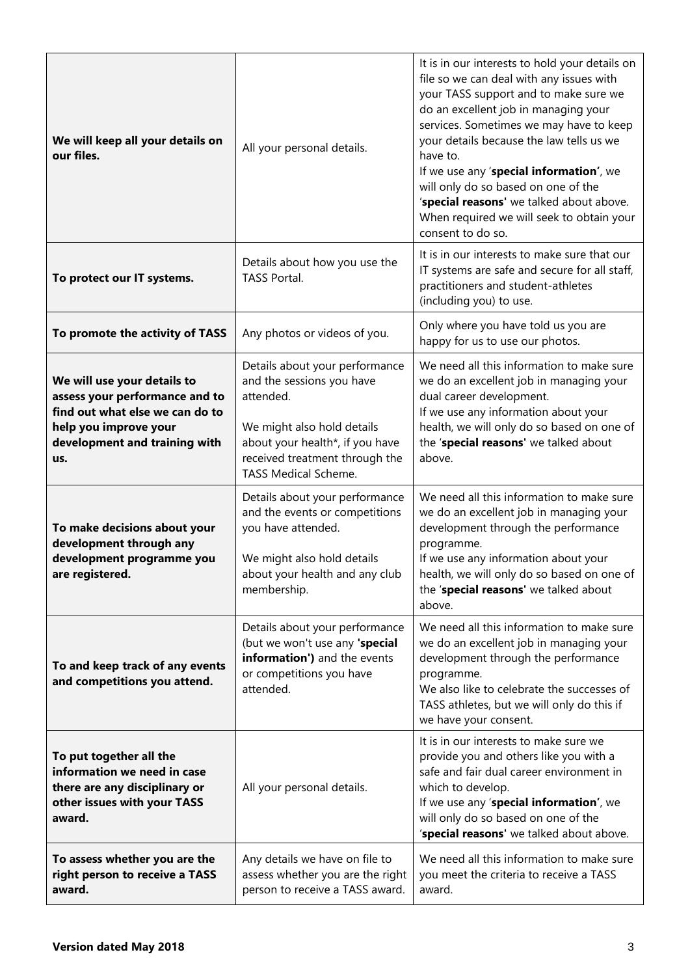| We will keep all your details on<br>our files.                                                                                                                    | All your personal details.                                                                                                                                                                                 | It is in our interests to hold your details on<br>file so we can deal with any issues with<br>your TASS support and to make sure we<br>do an excellent job in managing your<br>services. Sometimes we may have to keep<br>your details because the law tells us we<br>have to.<br>If we use any 'special information', we<br>will only do so based on one of the<br>'special reasons' we talked about above.<br>When required we will seek to obtain your<br>consent to do so. |
|-------------------------------------------------------------------------------------------------------------------------------------------------------------------|------------------------------------------------------------------------------------------------------------------------------------------------------------------------------------------------------------|--------------------------------------------------------------------------------------------------------------------------------------------------------------------------------------------------------------------------------------------------------------------------------------------------------------------------------------------------------------------------------------------------------------------------------------------------------------------------------|
| To protect our IT systems.                                                                                                                                        | Details about how you use the<br>TASS Portal.                                                                                                                                                              | It is in our interests to make sure that our<br>IT systems are safe and secure for all staff,<br>practitioners and student-athletes<br>(including you) to use.                                                                                                                                                                                                                                                                                                                 |
| To promote the activity of TASS                                                                                                                                   | Any photos or videos of you.                                                                                                                                                                               | Only where you have told us you are<br>happy for us to use our photos.                                                                                                                                                                                                                                                                                                                                                                                                         |
| We will use your details to<br>assess your performance and to<br>find out what else we can do to<br>help you improve your<br>development and training with<br>us. | Details about your performance<br>and the sessions you have<br>attended.<br>We might also hold details<br>about your health*, if you have<br>received treatment through the<br><b>TASS Medical Scheme.</b> | We need all this information to make sure<br>we do an excellent job in managing your<br>dual career development.<br>If we use any information about your<br>health, we will only do so based on one of<br>the 'special reasons' we talked about<br>above.                                                                                                                                                                                                                      |
| To make decisions about your<br>development through any<br>development programme you<br>are registered.                                                           | Details about your performance<br>and the events or competitions<br>you have attended.<br>We might also hold details<br>about your health and any club<br>membership.                                      | We need all this information to make sure<br>we do an excellent job in managing your<br>development through the performance<br>programme.<br>If we use any information about your<br>health, we will only do so based on one of<br>the 'special reasons' we talked about<br>above.                                                                                                                                                                                             |
| To and keep track of any events<br>and competitions you attend.                                                                                                   | Details about your performance<br>(but we won't use any 'special<br>information') and the events<br>or competitions you have<br>attended.                                                                  | We need all this information to make sure<br>we do an excellent job in managing your<br>development through the performance<br>programme.<br>We also like to celebrate the successes of<br>TASS athletes, but we will only do this if<br>we have your consent.                                                                                                                                                                                                                 |
| To put together all the<br>information we need in case<br>there are any disciplinary or<br>other issues with your TASS<br>award.                                  | All your personal details.                                                                                                                                                                                 | It is in our interests to make sure we<br>provide you and others like you with a<br>safe and fair dual career environment in<br>which to develop.<br>If we use any 'special information', we<br>will only do so based on one of the<br>'special reasons' we talked about above.                                                                                                                                                                                                |
| To assess whether you are the<br>right person to receive a TASS<br>award.                                                                                         | Any details we have on file to<br>assess whether you are the right<br>person to receive a TASS award.                                                                                                      | We need all this information to make sure<br>you meet the criteria to receive a TASS<br>award.                                                                                                                                                                                                                                                                                                                                                                                 |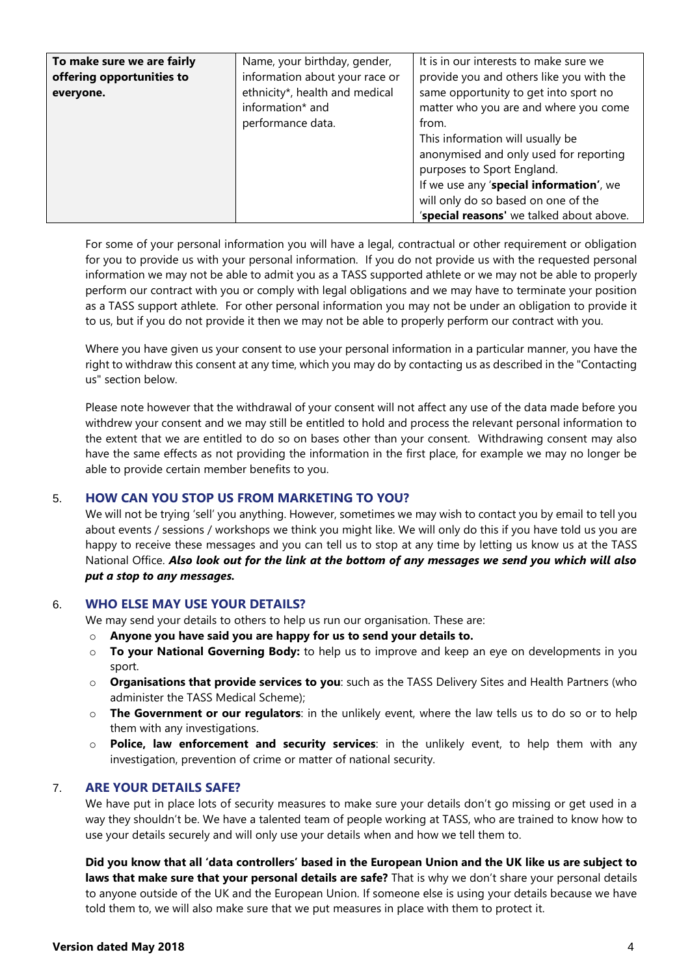| To make sure we are fairly<br>offering opportunities to<br>everyone. | Name, your birthday, gender,<br>information about your race or<br>ethnicity*, health and medical<br>information* and<br>performance data. | It is in our interests to make sure we<br>provide you and others like you with the<br>same opportunity to get into sport no<br>matter who you are and where you come<br>from.<br>This information will usually be |
|----------------------------------------------------------------------|-------------------------------------------------------------------------------------------------------------------------------------------|-------------------------------------------------------------------------------------------------------------------------------------------------------------------------------------------------------------------|
|                                                                      |                                                                                                                                           | anonymised and only used for reporting<br>purposes to Sport England.<br>If we use any 'special information', we<br>will only do so based on one of the<br>'special reasons' we talked about above.                |

For some of your personal information you will have a legal, contractual or other requirement or obligation for you to provide us with your personal information. If you do not provide us with the requested personal information we may not be able to admit you as a TASS supported athlete or we may not be able to properly perform our contract with you or comply with legal obligations and we may have to terminate your position as a TASS support athlete. For other personal information you may not be under an obligation to provide it to us, but if you do not provide it then we may not be able to properly perform our contract with you.

Where you have given us your consent to use your personal information in a particular manner, you have the right to withdraw this consent at any time, which you may do by contacting us as described in the "Contacting us" section below.

Please note however that the withdrawal of your consent will not affect any use of the data made before you withdrew your consent and we may still be entitled to hold and process the relevant personal information to the extent that we are entitled to do so on bases other than your consent. Withdrawing consent may also have the same effects as not providing the information in the first place, for example we may no longer be able to provide certain member benefits to you.

# 5. **HOW CAN YOU STOP US FROM MARKETING TO YOU?**

We will not be trying 'sell' you anything. However, sometimes we may wish to contact you by email to tell you about events / sessions / workshops we think you might like. We will only do this if you have told us you are happy to receive these messages and you can tell us to stop at any time by letting us know us at the TASS National Office. *Also look out for the link at the bottom of any messages we send you which will also put a stop to any messages.*

## 6. **WHO ELSE MAY USE YOUR DETAILS?**

We may send your details to others to help us run our organisation. These are:

- o **Anyone you have said you are happy for us to send your details to.**
- o **To your National Governing Body:** to help us to improve and keep an eye on developments in you sport.
- o **Organisations that provide services to you**: such as the TASS Delivery Sites and Health Partners (who administer the TASS Medical Scheme);
- o **The Government or our regulators**: in the unlikely event, where the law tells us to do so or to help them with any investigations.
- o **Police, law enforcement and security services**: in the unlikely event, to help them with any investigation, prevention of crime or matter of national security.

#### 7. **ARE YOUR DETAILS SAFE?**

We have put in place lots of security measures to make sure your details don't go missing or get used in a way they shouldn't be. We have a talented team of people working at TASS, who are trained to know how to use your details securely and will only use your details when and how we tell them to.

**Did you know that all 'data controllers' based in the European Union and the UK like us are subject to laws that make sure that your personal details are safe?** That is why we don't share your personal details to anyone outside of the UK and the European Union. If someone else is using your details because we have told them to, we will also make sure that we put measures in place with them to protect it.